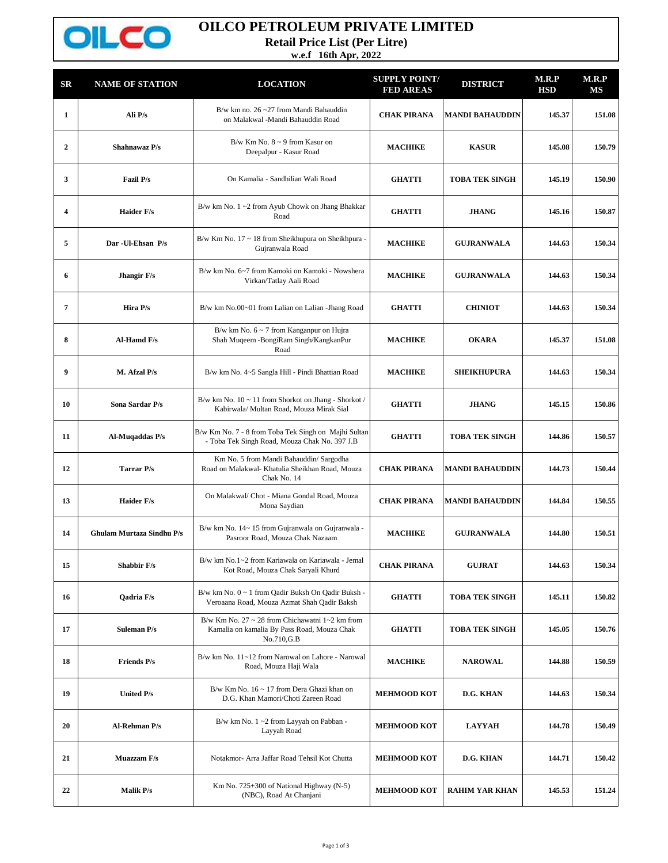

## **OILCO PETROLEUM PRIVATE LIMITED**

**Retail Price List (Per Litre)**

**w.e.f 16th Apr, 2022**

| SR                      | <b>NAME OF STATION</b>           | <b>LOCATION</b>                                                                                                           | <b>SUPPLY POINT/</b><br><b>FED AREAS</b> | <b>DISTRICT</b>        | M.R.P<br>HSD | M.R.P<br>МS |
|-------------------------|----------------------------------|---------------------------------------------------------------------------------------------------------------------------|------------------------------------------|------------------------|--------------|-------------|
| $\mathbf{1}$            | Ali P/s                          | B/w km no. $26 - 27$ from Mandi Bahauddin<br>on Malakwal -Mandi Bahauddin Road                                            | <b>CHAK PIRANA</b>                       | <b>MANDI BAHAUDDIN</b> | 145.37       | 151.08      |
| $\overline{2}$          | Shahnawaz P/s                    | B/w Km No. $8 \sim 9$ from Kasur on<br>Deepalpur - Kasur Road                                                             | <b>MACHIKE</b>                           | <b>KASUR</b>           | 145.08       | 150.79      |
| 3                       | Fazil P/s                        | On Kamalia - Sandhilian Wali Road                                                                                         | <b>GHATTI</b>                            | <b>TOBA TEK SINGH</b>  | 145.19       | 150.90      |
| $\overline{\mathbf{4}}$ | <b>Haider F/s</b>                | B/w km No. $1 \sim 2$ from Ayub Chowk on Jhang Bhakkar<br>Road                                                            | <b>GHATTI</b>                            | <b>JHANG</b>           | 145.16       | 150.87      |
| 5                       | Dar - Ul-Ehsan P/s               | B/w Km No. 17 ~ 18 from Sheikhupura on Sheikhpura -<br>Gujranwala Road                                                    | <b>MACHIKE</b>                           | <b>GUJRANWALA</b>      | 144.63       | 150.34      |
| 6                       | Jhangir F/s                      | B/w km No. 6~7 from Kamoki on Kamoki - Nowshera<br>Virkan/Tatlay Aali Road                                                | <b>MACHIKE</b>                           | <b>GUJRANWALA</b>      | 144.63       | 150.34      |
| 7                       | Hira P/s                         | B/w km No.00~01 from Lalian on Lalian -Jhang Road                                                                         | <b>GHATTI</b>                            | <b>CHINIOT</b>         | 144.63       | 150.34      |
| 8                       | Al-Hamd F/s                      | B/w km No. $6 \sim 7$ from Kanganpur on Hujra<br>Shah Muqeem -BongiRam Singh/KangkanPur<br>Road                           | <b>MACHIKE</b>                           | <b>OKARA</b>           | 145.37       | 151.08      |
| 9                       | M. Afzal P/s                     | B/w km No. 4~5 Sangla Hill - Pindi Bhattian Road                                                                          | <b>MACHIKE</b>                           | <b>SHEIKHUPURA</b>     | 144.63       | 150.34      |
| 10                      | Sona Sardar P/s                  | B/w km No. 10 ~ 11 from Shorkot on Jhang - Shorkot /<br>Kabirwala/ Multan Road, Mouza Mirak Sial                          | <b>GHATTI</b>                            | <b>JHANG</b>           | 145.15       | 150.86      |
| 11                      | Al-Muqaddas P/s                  | B/w Km No. 7 - 8 from Toba Tek Singh on Majhi Sultan<br>- Toba Tek Singh Road, Mouza Chak No. 397 J.B                     | <b>GHATTI</b>                            | <b>TOBA TEK SINGH</b>  | 144.86       | 150.57      |
| 12                      | <b>Tarrar P/s</b>                | Km No. 5 from Mandi Bahauddin/ Sargodha<br>Road on Malakwal- Khatulia Sheikhan Road, Mouza<br>Chak No. 14                 | <b>CHAK PIRANA</b>                       | <b>MANDI BAHAUDDIN</b> | 144.73       | 150.44      |
| 13                      | <b>Haider F/s</b>                | On Malakwal/ Chot - Miana Gondal Road, Mouza<br>Mona Saydian                                                              | <b>CHAK PIRANA</b>                       | <b>MANDI BAHAUDDIN</b> | 144.84       | 150.55      |
| 14                      | <b>Ghulam Murtaza Sindhu P/s</b> | B/w km No. 14~15 from Gujranwala on Gujranwala -<br>Pasroor Road, Mouza Chak Nazaam                                       | <b>MACHIKE</b>                           | <b>GUJRANWALA</b>      | 144.80       | 150.51      |
| 15                      | <b>Shabbir F/s</b>               | B/w km No.1~2 from Kariawala on Kariawala - Jemal<br>Kot Road, Mouza Chak Saryali Khurd                                   | <b>CHAK PIRANA</b>                       | <b>GUJRAT</b>          | 144.63       | 150.34      |
| 16                      | <b>Oadria F/s</b>                | B/w km No. 0 ~ 1 from Qadir Buksh On Qadir Buksh -<br>Veroaana Road, Mouza Azmat Shah Qadir Baksh                         | <b>GHATTI</b>                            | TOBA TEK SINGH         | 145.11       | 150.82      |
| 17                      | <b>Suleman P/s</b>               | B/w Km No. 27 $\sim$ 28 from Chichawatni 1 $\sim$ 2 km from<br>Kamalia on kamalia By Pass Road, Mouza Chak<br>No.710, G.B | <b>GHATTI</b>                            | <b>TOBA TEK SINGH</b>  | 145.05       | 150.76      |
| 18                      | <b>Friends P/s</b>               | B/w km No. 11~12 from Narowal on Lahore - Narowal<br>Road, Mouza Haji Wala                                                | <b>MACHIKE</b>                           | <b>NAROWAL</b>         | 144.88       | 150.59      |
| 19                      | <b>United P/s</b>                | B/w Km No. $16 \sim 17$ from Dera Ghazi khan on<br>D.G. Khan Mamori/Choti Zareen Road                                     | <b>MEHMOOD KOT</b>                       | D.G. KHAN              | 144.63       | 150.34      |
| 20                      | Al-Rehman P/s                    | B/w km No. $1 \sim 2$ from Layyah on Pabban -<br>Layyah Road                                                              | <b>MEHMOOD KOT</b>                       | <b>LAYYAH</b>          | 144.78       | 150.49      |
| 21                      | Muazzam F/s                      | Notakmor- Arra Jaffar Road Tehsil Kot Chutta                                                                              | <b>MEHMOOD KOT</b>                       | D.G. KHAN              | 144.71       | 150.42      |
| 22                      | <b>Malik P/s</b>                 | Km No. 725+300 of National Highway (N-5)<br>(NBC), Road At Chanjani                                                       | <b>MEHMOOD KOT</b>                       | <b>RAHIM YAR KHAN</b>  | 145.53       | 151.24      |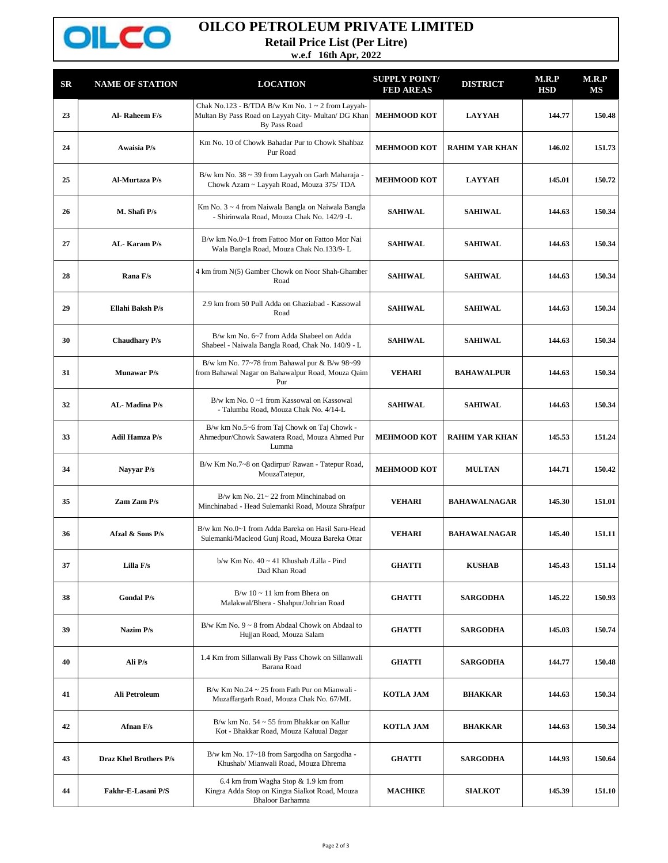

## **OILCO PETROLEUM PRIVATE LIMITED**

**Retail Price List (Per Litre)**

**w.e.f 16th Apr, 2022**

| SR | <b>NAME OF STATION</b> | <b>LOCATION</b>                                                                                                               | <b>SUPPLY POINT/</b><br><b>FED AREAS</b> | <b>DISTRICT</b>       | M.R.P<br><b>HSD</b> | M.R.P<br>MS |
|----|------------------------|-------------------------------------------------------------------------------------------------------------------------------|------------------------------------------|-----------------------|---------------------|-------------|
| 23 | Al-Raheem F/s          | Chak No.123 - B/TDA B/w Km No. $1 \sim 2$ from Layyah-<br>Multan By Pass Road on Layyah City- Multan/ DG Khan<br>By Pass Road | <b>MEHMOOD KOT</b>                       | <b>LAYYAH</b>         | 144.77              | 150.48      |
| 24 | <b>Awaisia P/s</b>     | Km No. 10 of Chowk Bahadar Pur to Chowk Shahbaz<br>Pur Road                                                                   | <b>MEHMOOD KOT</b>                       | <b>RAHIM YAR KHAN</b> | 146.02              | 151.73      |
| 25 | Al-Murtaza P/s         | B/w km No. 38 ~ 39 from Layyah on Garh Maharaja -<br>Chowk Azam ~ Layyah Road, Mouza 375/ TDA                                 | <b>MEHMOOD KOT</b>                       | <b>LAYYAH</b>         | 145.01              | 150.72      |
| 26 | M. Shafi P/s           | Km No. 3 ~ 4 from Naiwala Bangla on Naiwala Bangla<br>- Shirinwala Road, Mouza Chak No. 142/9 -L                              | <b>SAHIWAL</b>                           | <b>SAHIWAL</b>        | 144.63              | 150.34      |
| 27 | AL-Karam P/s           | B/w km No.0~1 from Fattoo Mor on Fattoo Mor Nai<br>Wala Bangla Road, Mouza Chak No.133/9-L                                    | <b>SAHIWAL</b>                           | <b>SAHIWAL</b>        | 144.63              | 150.34      |
| 28 | Rana F/s               | 4 km from N(5) Gamber Chowk on Noor Shah-Ghamber<br>Road                                                                      | <b>SAHIWAL</b>                           | <b>SAHIWAL</b>        | 144.63              | 150.34      |
| 29 | Ellahi Baksh P/s       | 2.9 km from 50 Pull Adda on Ghaziabad - Kassowal<br>Road                                                                      | <b>SAHIWAL</b>                           | <b>SAHIWAL</b>        | 144.63              | 150.34      |
| 30 | <b>Chaudhary P/s</b>   | B/w km No. 6~7 from Adda Shabeel on Adda<br>Shabeel - Naiwala Bangla Road, Chak No. 140/9 - L                                 | <b>SAHIWAL</b>                           | <b>SAHIWAL</b>        | 144.63              | 150.34      |
| 31 | <b>Munawar P/s</b>     | B/w km No. 77~78 from Bahawal pur & B/w 98~99<br>from Bahawal Nagar on Bahawalpur Road, Mouza Qaim<br>Pur                     | <b>VEHARI</b>                            | <b>BAHAWALPUR</b>     | 144.63              | 150.34      |
| 32 | AL-Madina P/s          | B/w km No. 0~1 from Kassowal on Kassowal<br>- Talumba Road, Mouza Chak No. 4/14-L                                             | <b>SAHIWAL</b>                           | <b>SAHIWAL</b>        | 144.63              | 150.34      |
| 33 | <b>Adil Hamza P/s</b>  | B/w km No.5~6 from Taj Chowk on Taj Chowk -<br>Ahmedpur/Chowk Sawatera Road, Mouza Ahmed Pur<br>Lumma                         | <b>MEHMOOD KOT</b>                       | <b>RAHIM YAR KHAN</b> | 145.53              | 151.24      |
| 34 | Nayyar P/s             | B/w Km No.7~8 on Qadirpur/ Rawan - Tatepur Road,<br>MouzaTatepur,                                                             | <b>MEHMOOD KOT</b>                       | <b>MULTAN</b>         | 144.71              | 150.42      |
| 35 | Zam Zam P/s            | $B/w$ km No. $21 \sim 22$ from Minchinabad on<br>Minchinabad - Head Sulemanki Road, Mouza Shrafpur                            | <b>VEHARI</b>                            | <b>BAHAWALNAGAR</b>   | 145.30              | 151.01      |
| 36 | Afzal & Sons P/s       | B/w km No.0~1 from Adda Bareka on Hasil Saru-Head<br>Sulemanki/Macleod Gunj Road, Mouza Bareka Ottar                          | <b>VEHARI</b>                            | <b>BAHAWALNAGAR</b>   | 145.40              | 151.11      |
| 37 | Lilla F/s              | b/w Km No. 40 ~ 41 Khushab /Lilla - Pind<br>Dad Khan Road                                                                     | <b>GHATTI</b>                            | <b>KUSHAB</b>         | 145.43              | 151.14      |
| 38 | <b>Gondal P/s</b>      | $B/w 10 \sim 11$ km from Bhera on<br>Malakwal/Bhera - Shahpur/Johrian Road                                                    | <b>GHATTI</b>                            | <b>SARGODHA</b>       | 145.22              | 150.93      |
| 39 | Nazim P/s              | B/w Km No. $9 \sim 8$ from Abdaal Chowk on Abdaal to<br>Hujjan Road, Mouza Salam                                              | <b>GHATTI</b>                            | <b>SARGODHA</b>       | 145.03              | 150.74      |
| 40 | Ali P/s                | 1.4 Km from Sillanwali By Pass Chowk on Sillanwali<br>Barana Road                                                             | <b>GHATTI</b>                            | <b>SARGODHA</b>       | 144.77              | 150.48      |
| 41 | Ali Petroleum          | B/w Km No.24 $\sim$ 25 from Fath Pur on Mianwali -<br>Muzaffargarh Road, Mouza Chak No. 67/ML                                 | <b>KOTLA JAM</b>                         | <b>BHAKKAR</b>        | 144.63              | 150.34      |
| 42 | Afnan F/s              | B/w km No. $54 \sim 55$ from Bhakkar on Kallur<br>Kot - Bhakkar Road, Mouza Kaluual Dagar                                     | <b>KOTLA JAM</b>                         | <b>BHAKKAR</b>        | 144.63              | 150.34      |
| 43 | Draz Khel Brothers P/s | B/w km No. 17~18 from Sargodha on Sargodha -<br>Khushab/ Mianwali Road, Mouza Dhrema                                          | <b>GHATTI</b>                            | <b>SARGODHA</b>       | 144.93              | 150.64      |
| 44 | Fakhr-E-Lasani P/S     | 6.4 km from Wagha Stop & 1.9 km from<br>Kingra Adda Stop on Kingra Sialkot Road, Mouza<br><b>Bhaloor Barhamna</b>             | <b>MACHIKE</b>                           | <b>SIALKOT</b>        | 145.39              | 151.10      |